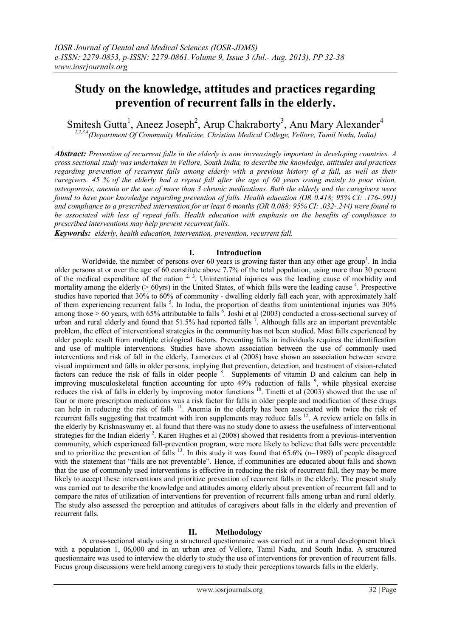# **Study on the knowledge, attitudes and practices regarding prevention of recurrent falls in the elderly.**

Smitesh Gutta<sup>1</sup>, Aneez Joseph<sup>2</sup>, Arup Chakraborty<sup>3</sup>, Anu Mary Alexander<sup>4</sup> *1,2,3,4(Department Of Community Medicine, Christian Medical College, Vellore, Tamil Nadu, India)*

*Abstract: Prevention of recurrent falls in the elderly is now increasingly important in developing countries. A cross sectional study was undertaken in Vellore, South India, to describe the knowledge, attitudes and practices regarding prevention of recurrent falls among elderly with a previous history of a fall, as well as their caregivers. 45 % of the elderly had a repeat fall after the age of 60 years owing mainly to poor vision, osteoporosis, anemia or the use of more than 3 chronic medications. Both the elderly and the caregivers were found to have poor knowledge regarding prevention of falls. Health education (OR 0.418; 95% CI: .176-.991) and compliance to a prescribed intervention for at least 6 months (OR 0.088; 95% CI: .032-.244) were found to be associated with less of repeat falls. Health education with emphasis on the benefits of compliance to prescribed interventions may help prevent recurrent falls.* 

*Keywords: elderly, health education, intervention, prevention, recurrent fall.*

## **I. Introduction**

Worldwide, the number of persons over 60 years is growing faster than any other age group<sup>1</sup>. In India older persons at or over the age of 60 constitute above 7.7% of the total population, using more than 30 percent of the medical expenditure of the nation  $2<sup>3</sup>$ . Unintentional injuries was the leading cause of morbidity and mortality among the elderly ( $\geq 60$ yrs) in the United States, of which falls were the leading cause <sup>4</sup>. Prospective studies have reported that 30% to 60% of community - dwelling elderly fall each year, with approximately half of them experiencing recurrent falls<sup>5</sup>. In India, the proportion of deaths from unintentional injuries was 30% among those  $> 60$  years, with 65% attributable to falls  $\frac{6}{5}$ . Joshi et al (2003) conducted a cross-sectional survey of urban and rural elderly and found that 51.5% had reported falls<sup>7</sup>. Although falls are an important preventable problem, the effect of interventional strategies in the community has not been studied. Most falls experienced by older people result from multiple etiological factors. Preventing falls in individuals requires the identification and use of multiple interventions. Studies have shown association between the use of commonly used interventions and risk of fall in the elderly. Lamoreux et al (2008) have shown an association between severe visual impairment and falls in older persons, implying that prevention, detection, and treatment of vision-related factors can reduce the risk of falls in older people<sup>8</sup>. Supplements of vitamin D and calcium can help in improving musculoskeletal function accounting for upto  $49\%$  reduction of falls  $9\%$ , while physical exercise reduces the risk of falls in elderly by improving motor functions <sup>10</sup>. Tinetti et al (2003) showed that the use of four or more prescription medications was a risk factor for falls in older people and modification of these drugs can help in reducing the risk of falls <sup>11</sup>. Anemia in the elderly has been associated with twice the risk of recurrent falls suggesting that treatment with iron supplements may reduce falls <sup>12</sup>. A review article on falls in the elderly by Krishnaswamy et. al found that there was no study done to assess the usefulness of interventional strategies for the Indian elderly<sup>2</sup>. Karen Hughes et al  $(2008)$  showed that residents from a previous-intervention community, which experienced fall-prevention program, were more likely to believe that falls were preventable and to prioritize the prevention of falls  $^{13}$ . In this study it was found that 65.6% (n=1989) of people disagreed with the statement that "falls are not preventable". Hence, if communities are educated about falls and shown that the use of commonly used interventions is effective in reducing the risk of recurrent fall, they may be more likely to accept these interventions and prioritize prevention of recurrent falls in the elderly. The present study was carried out to describe the knowledge and attitudes among elderly about prevention of recurrent fall and to compare the rates of utilization of interventions for prevention of recurrent falls among urban and rural elderly. The study also assessed the perception and attitudes of caregivers about falls in the elderly and prevention of recurrent falls.

#### **II. Methodology**

A cross-sectional study using a structured questionnaire was carried out in a rural development block with a population 1, 06,000 and in an urban area of Vellore, Tamil Nadu, and South India. A structured questionnaire was used to interview the elderly to study the use of interventions for prevention of recurrent falls. Focus group discussions were held among caregivers to study their perceptions towards falls in the elderly.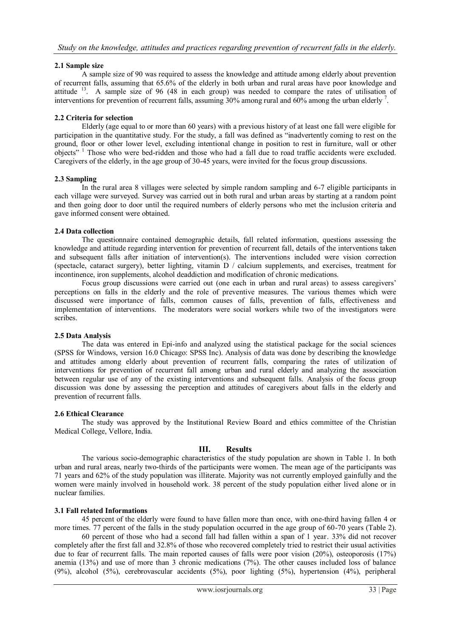## **2.1 Sample size**

A sample size of 90 was required to assess the knowledge and attitude among elderly about prevention of recurrent falls, assuming that 65.6% of the elderly in both urban and rural areas have poor knowledge and attitude  $13$ . A sample size of 96 (48 in each group) was needed to compare the rates of utilisation of interventions for prevention of recurrent falls, assuming 30% among rural and 60% among the urban elderly<sup>7</sup>.

## **2.2 Criteria for selection**

Elderly (age equal to or more than 60 years) with a previous history of at least one fall were eligible for participation in the quantitative study. For the study, a fall was defined as "inadvertently coming to rest on the ground, floor or other lower level, excluding intentional change in position to rest in furniture, wall or other objects" <sup>1</sup> Those who were bed-ridden and those who had a fall due to road traffic accidents were excluded. Caregivers of the elderly, in the age group of 30-45 years, were invited for the focus group discussions.

#### **2.3 Sampling**

In the rural area 8 villages were selected by simple random sampling and 6-7 eligible participants in each village were surveyed. Survey was carried out in both rural and urban areas by starting at a random point and then going door to door until the required numbers of elderly persons who met the inclusion criteria and gave informed consent were obtained.

## **2.4 Data collection**

The questionnaire contained demographic details, fall related information, questions assessing the knowledge and attitude regarding intervention for prevention of recurrent fall, details of the interventions taken and subsequent falls after initiation of intervention(s). The interventions included were vision correction (spectacle, cataract surgery), better lighting, vitamin D / calcium supplements, and exercises, treatment for incontinence, iron supplements, alcohol deaddiction and modification of chronic medications.

Focus group discussions were carried out (one each in urban and rural areas) to assess caregivers' perceptions on falls in the elderly and the role of preventive measures. The various themes which were discussed were importance of falls, common causes of falls, prevention of falls, effectiveness and implementation of interventions. The moderators were social workers while two of the investigators were scribes.

#### **2.5 Data Analysis**

The data was entered in Epi-info and analyzed using the statistical package for the social sciences (SPSS for Windows, version 16.0 Chicago: SPSS Inc). Analysis of data was done by describing the knowledge and attitudes among elderly about prevention of recurrent falls, comparing the rates of utilization of interventions for prevention of recurrent fall among urban and rural elderly and analyzing the association between regular use of any of the existing interventions and subsequent falls. Analysis of the focus group discussion was done by assessing the perception and attitudes of caregivers about falls in the elderly and prevention of recurrent falls.

#### **2.6 Ethical Clearance**

The study was approved by the Institutional Review Board and ethics committee of the Christian Medical College, Vellore, India.

## **III. Results**

The various socio-demographic characteristics of the study population are shown in Table 1. In both urban and rural areas, nearly two-thirds of the participants were women. The mean age of the participants was 71 years and 62% of the study population was illiterate. Majority was not currently employed gainfully and the women were mainly involved in household work. 38 percent of the study population either lived alone or in nuclear families.

#### **3.1 Fall related Informations**

45 percent of the elderly were found to have fallen more than once, with one-third having fallen 4 or more times. 77 percent of the falls in the study population occurred in the age group of 60-70 years (Table 2).

60 percent of those who had a second fall had fallen within a span of 1 year. 33% did not recover completely after the first fall and 32.8% of those who recovered completely tried to restrict their usual activities due to fear of recurrent falls. The main reported causes of falls were poor vision (20%), osteoporosis (17%) anemia (13%) and use of more than 3 chronic medications (7%). The other causes included loss of balance (9%), alcohol (5%), cerebrovascular accidents (5%), poor lighting (5%), hypertension (4%), peripheral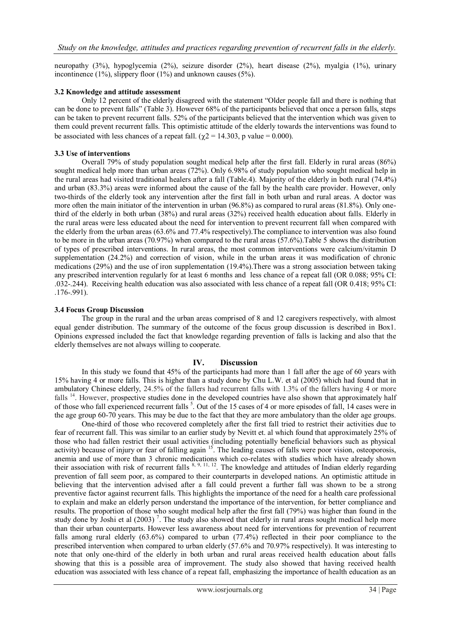neuropathy (3%), hypoglycemia (2%), seizure disorder (2%), heart disease (2%), myalgia (1%), urinary incontinence (1%), slippery floor (1%) and unknown causes (5%).

## **3.2 Knowledge and attitude assessment**

Only 12 percent of the elderly disagreed with the statement "Older people fall and there is nothing that can be done to prevent falls" (Table 3). However 68% of the participants believed that once a person falls, steps can be taken to prevent recurrent falls. 52% of the participants believed that the intervention which was given to them could prevent recurrent falls. This optimistic attitude of the elderly towards the interventions was found to be associated with less chances of a repeat fall. ( $\gamma$ 2 = 14.303, p value = 0.000).

#### **3.3 Use of interventions**

Overall 79% of study population sought medical help after the first fall. Elderly in rural areas (86%) sought medical help more than urban areas (72%). Only 6.98% of study population who sought medical help in the rural areas had visited traditional healers after a fall (Table.4). Majority of the elderly in both rural (74.4%) and urban (83.3%) areas were informed about the cause of the fall by the health care provider. However, only two-thirds of the elderly took any intervention after the first fall in both urban and rural areas. A doctor was more often the main initiator of the intervention in urban (96.8%) as compared to rural areas (81.8%). Only onethird of the elderly in both urban (38%) and rural areas (32%) received health education about falls. Elderly in the rural areas were less educated about the need for intervention to prevent recurrent fall when compared with the elderly from the urban areas (63.6% and 77.4% respectively).The compliance to intervention was also found to be more in the urban areas (70.97%) when compared to the rural areas (57.6%).Table 5 shows the distribution of types of prescribed interventions. In rural areas, the most common interventions were calcium/vitamin D supplementation (24.2%) and correction of vision, while in the urban areas it was modification of chronic medications (29%) and the use of iron supplementation (19.4%).There was a strong association between taking any prescribed intervention regularly for at least 6 months and less chance of a repeat fall (OR 0.088; 95% CI: .032-.244). Receiving health education was also associated with less chance of a repeat fall (OR 0.418; 95% CI: .176-.991).

#### **3.4 Focus Group Discussion**

The group in the rural and the urban areas comprised of 8 and 12 caregivers respectively, with almost equal gender distribution. The summary of the outcome of the focus group discussion is described in Box1. Opinions expressed included the fact that knowledge regarding prevention of falls is lacking and also that the elderly themselves are not always willing to cooperate.

#### **IV. Discussion**

In this study we found that 45% of the participants had more than 1 fall after the age of 60 years with 15% having 4 or more falls. This is higher than a study done by Chu L.W. et al (2005) which had found that in ambulatory Chinese elderly, 24.5% of the fallers had recurrent falls with 1.3% of the fallers having 4 or more falls <sup>14</sup>. However, prospective studies done in the developed countries have also shown that approximately half of those who fall experienced recurrent falls <sup>5</sup>. Out of the 15 cases of 4 or more episodes of fall, 14 cases were in the age group 60-70 years. This may be due to the fact that they are more ambulatory than the older age groups.

One-third of those who recovered completely after the first fall tried to restrict their activities due to fear of recurrent fall. This was similar to an earlier study by Nevitt et. al which found that approximately 25% of those who had fallen restrict their usual activities (including potentially beneficial behaviors such as physical activity) because of injury or fear of falling again <sup>15</sup>. The leading causes of falls were poor vision, osteoporosis, anemia and use of more than 3 chronic medications which co-relates with studies which have already shown their association with risk of recurrent falls  $^{8, 9, 11, 12}$ . The knowledge and attitudes of Indian elderly regarding prevention of fall seem poor, as compared to their counterparts in developed nations. An optimistic attitude in believing that the intervention advised after a fall could prevent a further fall was shown to be a strong preventive factor against recurrent falls. This highlights the importance of the need for a health care professional to explain and make an elderly person understand the importance of the intervention, for better compliance and results. The proportion of those who sought medical help after the first fall (79%) was higher than found in the study done by Joshi et al  $(2003)^7$ . The study also showed that elderly in rural areas sought medical help more than their urban counterparts. However less awareness about need for interventions for prevention of recurrent falls among rural elderly (63.6%) compared to urban (77.4%) reflected in their poor compliance to the prescribed intervention when compared to urban elderly (57.6% and 70.97% respectively). It was interesting to note that only one-third of the elderly in both urban and rural areas received health education about falls showing that this is a possible area of improvement. The study also showed that having received health education was associated with less chance of a repeat fall, emphasizing the importance of health education as an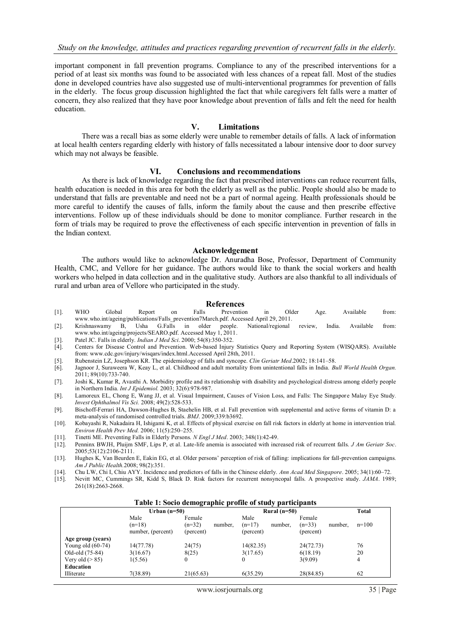important component in fall prevention programs. Compliance to any of the prescribed interventions for a period of at least six months was found to be associated with less chances of a repeat fall. Most of the studies done in developed countries have also suggested use of multi-interventional programmes for prevention of falls in the elderly. The focus group discussion highlighted the fact that while caregivers felt falls were a matter of concern, they also realized that they have poor knowledge about prevention of falls and felt the need for health education.

#### **V. Limitations**

There was a recall bias as some elderly were unable to remember details of falls. A lack of information at local health centers regarding elderly with history of falls necessitated a labour intensive door to door survey which may not always be feasible.

#### **VI. Conclusions and recommendations**

As there is lack of knowledge regarding the fact that prescribed interventions can reduce recurrent falls, health education is needed in this area for both the elderly as well as the public. People should also be made to understand that falls are preventable and need not be a part of normal ageing. Health professionals should be more careful to identify the causes of falls, inform the family about the cause and then prescribe effective interventions. Follow up of these individuals should be done to monitor compliance. Further research in the form of trials may be required to prove the effectiveness of each specific intervention in prevention of falls in the Indian context.

#### **Acknowledgement**

The authors would like to acknowledge Dr. Anuradha Bose, Professor, Department of Community Health, CMC, and Vellore for her guidance. The authors would like to thank the social workers and health workers who helped in data collection and in the qualitative study. Authors are also thankful to all individuals of rural and urban area of Vellore who participated in the study.

## **References**<br>**Prevention**

- [1]. WHO Global Report on Falls Prevention in Older Age. Available from: [www.who.int/ageing/publications/Falls\\_prevention7March.pdf. Accessed](http://www.who.int/ageing/publications/Falls_prevention7March.pdf.%20Accessed) April 29, 2011.<br>Krishnaswamy B, Usha G.Falls in older people. National/regional
- [2]. Krishnaswamy B, Usha G.Falls in older people. National/regional review, India. Available from: [www.who.int/ageing/projects/SEARO.pdf. Accessed May 1, 2011.](http://www.who.int/ageing/projects/SEARO.pdf.%20Accessed%20May%201,%202011)
- [3]. Patel JC. Falls in elderly. *Indian J Med Sci*. 2000; 54(8):350-352.
- [4]. Centers for Disease Control and Prevention. Web-based Injury Statistics Query and Reporting System (WISQARS). Available from: www.cdc.gov/injury/wisqars/index.html.Accessed April 28th, 2011.
- [5]. Rubenstein LZ, Josephson KR. The epidemiology of falls and syncope. *Clin Geriatr Med*.2002; 18:141–58.
- [6]. Jagnoor J, Suraweera W, Keay L, et al. Childhood and adult mortality from unintentional falls in India. *Bull World Health Organ.* 2011; 89(10):733-740.
- [7]. Joshi K, Kumar R, Avasthi A. Morbidity profile and its relationship with disability and psychological distress among elderly people in Northern India. *Int J Epidemiol.* 2003; 32(6):978-987.
- [8]. Lamoreux EL, Chong E, Wang JJ, et al. Visual Impairment, Causes of Vision Loss, and Falls: The Singapore Malay Eye Study*. Invest Ophthalmol Vis Sci.* 2008; 49(2):528-533.
- [9]. Bischoff-Ferrari HA, Dawson-Hughes B, Staehelin HB, et al. Fall prevention with supplemental and active forms of vitamin D: a meta-analysis of randomised controlled trials. *BMJ*. 2009;339:b3692.
- [10]. Kobayashi R, Nakadaira H, Ishigami K, et al. Effects of physical exercise on fall risk factors in elderly at home in intervention trial*. Environ Health Prev Med.* 2006; 11(5):250–255.
- [11]. Tinetti ME. Preventing Falls in Elderly Persons. *N Engl J Med*. 2003; 348(1):42-49.
- [12]. Penninx BWJH, Pluijm SMF, Lips P, et al. Late-life anemia is associated with increased risk of recurrent falls. *J Am Geriatr Soc*. 2005;53(12):2106-2111.
- [13]. Hughes K, Van Beurden E, Eakin EG, et al. Older persons' perception of risk of falling: implications for fall-prevention campaigns*. Am J Public Health.*2008; 98(2):351.
- [14]. Chu LW, Chi I, Chiu AYY. Incidence and predictors of falls in the Chinese elderly. *Ann Acad Med Singapore*. 2005; 34(1):60–72.
- [15]. Nevitt MC, Cummings SR, Kidd S, Black D. Risk factors for recurrent nonsyncopal falls. A prospective study. *JAMA*. 1989; 261(18):2663-2668.

| Table 1: Socio demographic profile of study participants |                   |              |         |           |                |           |         |                |
|----------------------------------------------------------|-------------------|--------------|---------|-----------|----------------|-----------|---------|----------------|
|                                                          | Urban $(n=50)$    |              |         |           | Rural $(n=50)$ |           |         | Total          |
|                                                          | Male              | Female       |         | Male      |                | Female    |         |                |
|                                                          | $(n=18)$          | $(n=32)$     | number, | $(n=17)$  | number.        | $(n=33)$  | number. | $n=100$        |
|                                                          | number, (percent) | (percent)    |         | (percent) |                | (percent) |         |                |
| Age group (years)                                        |                   |              |         |           |                |           |         |                |
| Young old $(60-74)$                                      | 14(77.78)         | 24(75)       |         | 14(82.35) |                | 24(72.73) |         | 76             |
| Old-old (75-84)                                          | 3(16.67)          | 8(25)        |         | 3(17.65)  |                | 6(18.19)  |         | 20             |
| Very old $(> 85)$                                        | 1(5.56)           | $\mathbf{0}$ |         | 0         |                | 3(9.09)   |         | $\overline{4}$ |
| Education                                                |                   |              |         |           |                |           |         |                |
| Illiterate                                               | 7(38.89)          | 21(65.63)    |         | 6(35.29)  |                | 28(84.85) |         | 62             |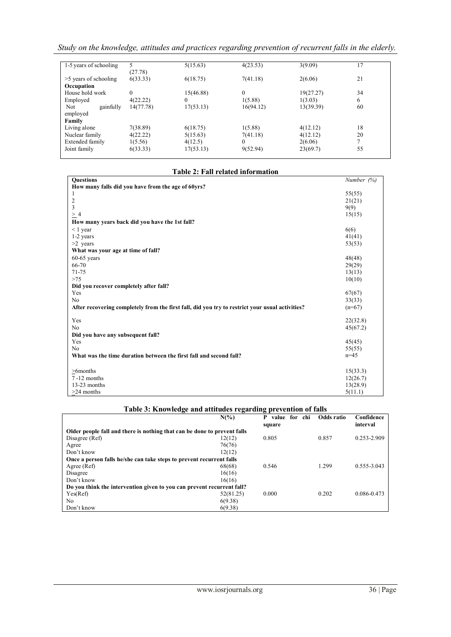*Study on the knowledge, attitudes and practices regarding prevention of recurrent falls in the elderly.*

| 1-5 years of schooling  | 5.        | 5(15.63)     | 4(23.53)  | 3(9.09)   | 17 |
|-------------------------|-----------|--------------|-----------|-----------|----|
|                         | (27.78)   |              |           |           |    |
| $>5$ years of schooling | 6(33.33)  | 6(18.75)     | 7(41.18)  | 2(6.06)   | 21 |
| Occupation              |           |              |           |           |    |
| House hold work         | $\Omega$  | 15(46.88)    | $\Omega$  | 19(27.27) | 34 |
| Employed                | 4(22.22)  | $\mathbf{0}$ | 1(5.88)   | 1(3.03)   | 6  |
| Not.<br>gainfully       | 14(77.78) | 17(53.13)    | 16(94.12) | 13(39.39) | 60 |
| employed                |           |              |           |           |    |
| Family                  |           |              |           |           |    |
| Living alone            | 7(38.89)  | 6(18.75)     | 1(5.88)   | 4(12.12)  | 18 |
| Nuclear family          | 4(22.22)  | 5(15.63)     | 7(41.18)  | 4(12.12)  | 20 |
| Extended family         | 1(5.56)   | 4(12.5)      | 0         | 2(6.06)   | 7  |
| Joint family            | 6(33.33)  | 17(53.13)    | 9(52.94)  | 23(69.7)  | 55 |
|                         |           |              |           |           |    |

## **Table 2: Fall related information**

| How many falls did you have from the age of 60yrs?<br>55(55)<br>1<br>$\overline{c}$<br>21(21)<br>3<br>9(9)<br>>4<br>15(15)<br>How many years back did you have the 1st fall?<br>$< 1$ year<br>6(6)<br>1-2 years<br>41(41)<br>$>2$ years<br>53(53)<br>What was your age at time of fall?<br>$60-65$ years<br>48(48)<br>66-70<br>29(29)<br>71-75<br>13(13)<br>$>75$<br>10(10)<br>Did you recover completely after fall?<br>Yes<br>67(67)<br>N <sub>0</sub><br>33(33)<br>After recovering completely from the first fall, did you try to restrict your usual activities?<br>$(n=67)$<br>Yes<br>22(32.8)<br>N <sub>0</sub><br>45(67.2)<br>Did you have any subsequent fall?<br>Yes<br>45(45) | <b>Ouestions</b> | Number (%) |
|------------------------------------------------------------------------------------------------------------------------------------------------------------------------------------------------------------------------------------------------------------------------------------------------------------------------------------------------------------------------------------------------------------------------------------------------------------------------------------------------------------------------------------------------------------------------------------------------------------------------------------------------------------------------------------------|------------------|------------|
|                                                                                                                                                                                                                                                                                                                                                                                                                                                                                                                                                                                                                                                                                          |                  |            |
|                                                                                                                                                                                                                                                                                                                                                                                                                                                                                                                                                                                                                                                                                          |                  |            |
|                                                                                                                                                                                                                                                                                                                                                                                                                                                                                                                                                                                                                                                                                          |                  |            |
|                                                                                                                                                                                                                                                                                                                                                                                                                                                                                                                                                                                                                                                                                          |                  |            |
|                                                                                                                                                                                                                                                                                                                                                                                                                                                                                                                                                                                                                                                                                          |                  |            |
|                                                                                                                                                                                                                                                                                                                                                                                                                                                                                                                                                                                                                                                                                          |                  |            |
|                                                                                                                                                                                                                                                                                                                                                                                                                                                                                                                                                                                                                                                                                          |                  |            |
|                                                                                                                                                                                                                                                                                                                                                                                                                                                                                                                                                                                                                                                                                          |                  |            |
|                                                                                                                                                                                                                                                                                                                                                                                                                                                                                                                                                                                                                                                                                          |                  |            |
|                                                                                                                                                                                                                                                                                                                                                                                                                                                                                                                                                                                                                                                                                          |                  |            |
|                                                                                                                                                                                                                                                                                                                                                                                                                                                                                                                                                                                                                                                                                          |                  |            |
|                                                                                                                                                                                                                                                                                                                                                                                                                                                                                                                                                                                                                                                                                          |                  |            |
|                                                                                                                                                                                                                                                                                                                                                                                                                                                                                                                                                                                                                                                                                          |                  |            |
|                                                                                                                                                                                                                                                                                                                                                                                                                                                                                                                                                                                                                                                                                          |                  |            |
|                                                                                                                                                                                                                                                                                                                                                                                                                                                                                                                                                                                                                                                                                          |                  |            |
|                                                                                                                                                                                                                                                                                                                                                                                                                                                                                                                                                                                                                                                                                          |                  |            |
|                                                                                                                                                                                                                                                                                                                                                                                                                                                                                                                                                                                                                                                                                          |                  |            |
|                                                                                                                                                                                                                                                                                                                                                                                                                                                                                                                                                                                                                                                                                          |                  |            |
|                                                                                                                                                                                                                                                                                                                                                                                                                                                                                                                                                                                                                                                                                          |                  |            |
|                                                                                                                                                                                                                                                                                                                                                                                                                                                                                                                                                                                                                                                                                          |                  |            |
|                                                                                                                                                                                                                                                                                                                                                                                                                                                                                                                                                                                                                                                                                          |                  |            |
|                                                                                                                                                                                                                                                                                                                                                                                                                                                                                                                                                                                                                                                                                          |                  |            |
|                                                                                                                                                                                                                                                                                                                                                                                                                                                                                                                                                                                                                                                                                          |                  |            |
|                                                                                                                                                                                                                                                                                                                                                                                                                                                                                                                                                                                                                                                                                          | N <sub>0</sub>   | 55(55)     |
| What was the time duration between the first fall and second fall?<br>$n=45$                                                                                                                                                                                                                                                                                                                                                                                                                                                                                                                                                                                                             |                  |            |
|                                                                                                                                                                                                                                                                                                                                                                                                                                                                                                                                                                                                                                                                                          |                  |            |
| $>6$ months<br>15(33.3)                                                                                                                                                                                                                                                                                                                                                                                                                                                                                                                                                                                                                                                                  |                  |            |
| $7 - 12$ months<br>12(26.7)                                                                                                                                                                                                                                                                                                                                                                                                                                                                                                                                                                                                                                                              |                  |            |
| 13-23 months<br>13(28.9)                                                                                                                                                                                                                                                                                                                                                                                                                                                                                                                                                                                                                                                                 |                  |            |
| $>24$ months<br>5(11.1)                                                                                                                                                                                                                                                                                                                                                                                                                                                                                                                                                                                                                                                                  |                  |            |

## **Table 3: Knowledge and attitudes regarding prevention of falls**

|                                                                          | $N(\%)$   | P<br>value for<br>chi | Odds ratio | Confidence      |
|--------------------------------------------------------------------------|-----------|-----------------------|------------|-----------------|
|                                                                          |           | square                |            | interval        |
| Older people fall and there is nothing that can be done to prevent falls |           |                       |            |                 |
| Disagree (Ref)                                                           | 12(12)    | 0.805                 | 0.857      | $0.253 - 2.909$ |
| Agree                                                                    | 76(76)    |                       |            |                 |
| Don't know                                                               | 12(12)    |                       |            |                 |
| Once a person falls he/she can take steps to prevent recurrent falls     |           |                       |            |                 |
| Agree (Ref)                                                              | 68(68)    | 0.546                 | 1.299      | 0.555-3.043     |
| Disagree                                                                 | 16(16)    |                       |            |                 |
| Don't know                                                               | 16(16)    |                       |            |                 |
| Do you think the intervention given to you can prevent recurrent fall?   |           |                       |            |                 |
| Yes(Ref)                                                                 | 52(81.25) | 0.000                 | 0.202      | 0.086-0.473     |
| No.                                                                      | 6(9.38)   |                       |            |                 |
| Don't know                                                               | 6(9.38)   |                       |            |                 |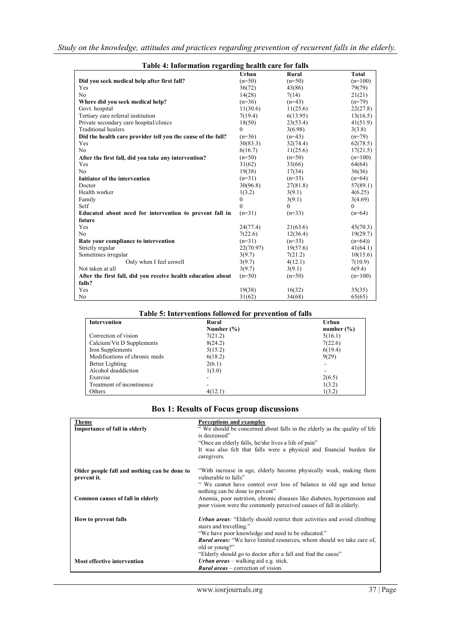| Table 4: Information regarding health care for falls         |              |              |              |
|--------------------------------------------------------------|--------------|--------------|--------------|
|                                                              | Urban        | <b>Rural</b> | <b>Total</b> |
| Did you seek medical help after first fall?                  | $(n=50)$     | $(n=50)$     | $(n=100)$    |
| Yes                                                          | 36(72)       | 43(86)       | 79(79)       |
| N <sub>0</sub>                                               | 14(28)       | 7(14)        | 21(21)       |
| Where did you seek medical help?                             | $(n=36)$     | $(n=43)$     | $(n=79)$     |
| Govt. hospital                                               | 11(30.6)     | 11(25.6)     | 22(27.8)     |
| Tertiary care referral institution                           | 7(19.4)      | 6(13.95)     | 13(16.5)     |
| Private secondary care hospital/clinics                      | 18(50)       | 23(53.4)     | 41(51.9)     |
| Traditional healers                                          | 0            | 3(6.98)      | 3(3.8)       |
| Did the health care provider tell you the cause of the fall? | $(n=36)$     | $(n=43)$     | $(n=79)$     |
| Yes                                                          | 30(83.3)     | 32(74.4)     | 62(78.5)     |
| No                                                           | 6(16.7)      | 11(25.6)     | 17(21.5)     |
| After the first fall, did you take any intervention?         | $(n=50)$     | $(n=50)$     | $(n=100)$    |
| Yes                                                          | 31(62)       | 33(66)       | 64(64)       |
| N <sub>0</sub>                                               | 19(38)       | 17(34)       | 36(36)       |
| Initiator of the intervention                                | $(n=31)$     | $(n=33)$     | $(n=64)$     |
| Doctor                                                       | 30(96.8)     | 27(81.8)     | 57(89.1)     |
| Health worker                                                | 1(3.2)       | 3(9.1)       | 4(6.25)      |
| Family                                                       | $\mathbf{0}$ | 3(9.1)       | 3(4.69)      |
| Self                                                         | $\theta$     | 0            | 0            |
| Educated about need for intervention to prevent fall in      | $(n=31)$     | $(n=33)$     | $(n=64)$     |
| future                                                       |              |              |              |
| Yes                                                          | 24(77.4)     | 21(63.6)     | 45(70.3)     |
| N <sub>0</sub>                                               | 7(22.6)      | 12(36.4)     | 19(29.7)     |
| Rate your compliance to intervention                         | $(n=31)$     | $(n=33)$     | $(n=64)$     |
| Strictly regular                                             | 22(70.97)    | 19(57.6)     | 41(64.1)     |
| Sometimes irregular                                          | 3(9.7)       | 7(21.2)      | 10(15.6)     |
| Only when I feel unwell                                      | 3(9.7)       | 4(12.1)      | 7(10.9)      |
| Not taken at all                                             | 3(9.7)       | 3(9.1)       | 6(9.4)       |
| After the first fall, did you receive health education about | $(n=50)$     | $(n=50)$     | $(n=100)$    |
| falls?                                                       |              |              |              |
| Yes                                                          | 19(38)       | 16(32)       | 35(35)       |
| No                                                           | 31(62)       | 34(68)       | 65(65)       |

## **Table 5: Interventions followed for prevention of falls**

| <b>Intervention</b>           | Rural          | Urban                    |
|-------------------------------|----------------|--------------------------|
|                               | Number $(\% )$ | number $(\% )$           |
| Correction of vision          | 7(21.2)        | 5(16.1)                  |
| Calcium/Vit D Supplements     | 8(24.2)        | 7(22.6)                  |
| Iron Supplements              | 5(15.2)        | 6(19.4)                  |
| Modifications of chronic meds | 6(18.2)        | 9(29)                    |
| Better Lighting               | 2(6.1)         |                          |
| Alcohol deaddiction           | 1(3.0)         | $\overline{\phantom{a}}$ |
| Exercise                      |                | 2(6.5)                   |
| Treatment of incontinence     |                | 1(3.2)                   |
| Others                        | 4(12.1)        | 1(3.2)                   |

## **Box 1: Results of Focus group discussions**

| <b>Theme</b>                                 | Perceptions and examples                                                         |
|----------------------------------------------|----------------------------------------------------------------------------------|
| <b>Importance of fall in elderly</b>         | "We should be concerned about falls in the elderly as the quality of life        |
|                                              | is decreased"                                                                    |
|                                              | "Once an elderly falls, he/she lives a life of pain"                             |
|                                              | It was also felt that falls were a physical and financial burden for             |
|                                              | caregivers.                                                                      |
| Older people fall and nothing can be done to | "With increase in age, elderly become physically weak, making them               |
| prevent it.                                  | vulnerable to falls"                                                             |
|                                              | " We cannot have control over loss of balance in old age and hence               |
|                                              | nothing can be done to prevent"                                                  |
| Common causes of fall in elderly             | Anemia, poor nutrition, chronic diseases like diabetes, hypertension and         |
|                                              | poor vision were the commonly perceived causes of fall in elderly.               |
| How to prevent falls                         | <b>Urban areas:</b> "Elderly should restrict their activities and avoid climbing |
|                                              | stairs and travelling."                                                          |
|                                              | "We have poor knowledge and need to be educated."                                |
|                                              | <b>Rural areas:</b> "We have limited resources, whom should we take care of,     |
|                                              | old or young?"                                                                   |
|                                              | "Elderly should go to doctor after a fall and find the cause"                    |
| <b>Most effective intervention</b>           | <i>Urban areas</i> – walking aid e.g. stick.                                     |
|                                              | <b>Rural areas</b> – correction of vision.                                       |